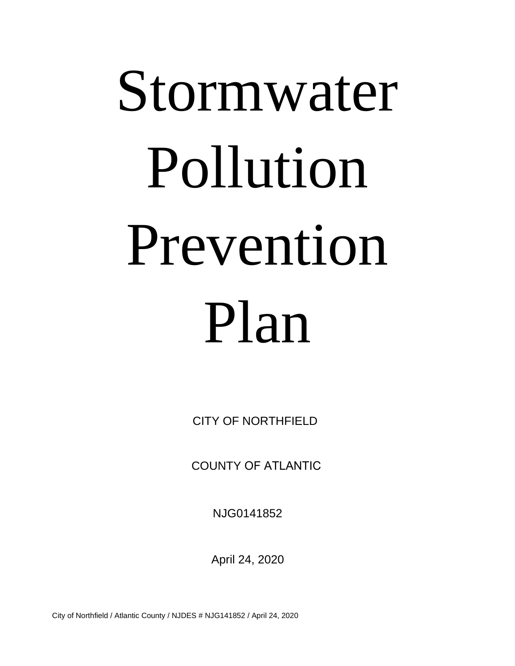# Stormwater Pollution Prevention Plan

CITY OF NORTHFIELD

COUNTY OF ATLANTIC

NJG0141852

April 24, 2020

City of Northfield / Atlantic County / NJDES # NJG141852 / April 24, 2020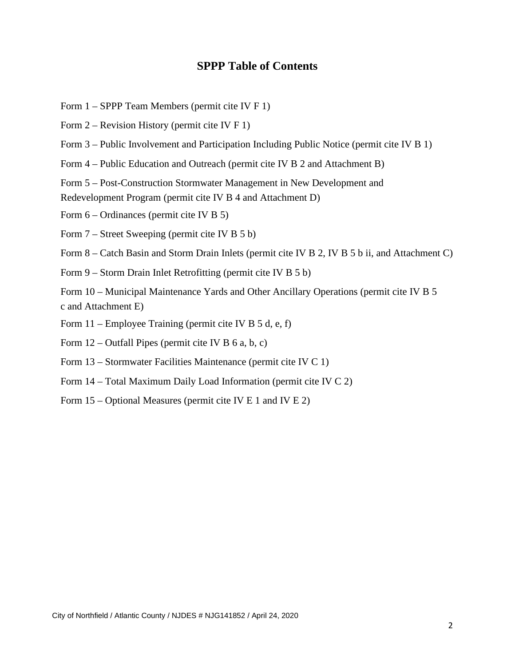#### **SPPP Table of Contents**

- Form 1 SPPP Team Members (permit cite IV F 1)
- Form 2 Revision History (permit cite IV F 1)
- Form 3 Public Involvement and Participation Including Public Notice (permit cite IV B 1)
- Form 4 Public Education and Outreach (permit cite IV B 2 and Attachment B)

Form 5 – Post-Construction Stormwater Management in New Development and Redevelopment Program (permit cite IV B 4 and Attachment D)

- Form 6 Ordinances (permit cite IV B 5)
- Form 7 Street Sweeping (permit cite IV B 5 b)

Form 8 – Catch Basin and Storm Drain Inlets (permit cite IV B 2, IV B 5 b ii, and Attachment C)

Form 9 – Storm Drain Inlet Retrofitting (permit cite IV B 5 b)

Form 10 – Municipal Maintenance Yards and Other Ancillary Operations (permit cite IV B 5 c and Attachment E)

- Form 11 Employee Training (permit cite IV B 5 d, e, f)
- Form  $12$  Outfall Pipes (permit cite IV B 6 a, b, c)
- Form 13 Stormwater Facilities Maintenance (permit cite IV C 1)
- Form 14 Total Maximum Daily Load Information (permit cite IV C 2)
- Form 15 Optional Measures (permit cite IV E 1 and IV E 2)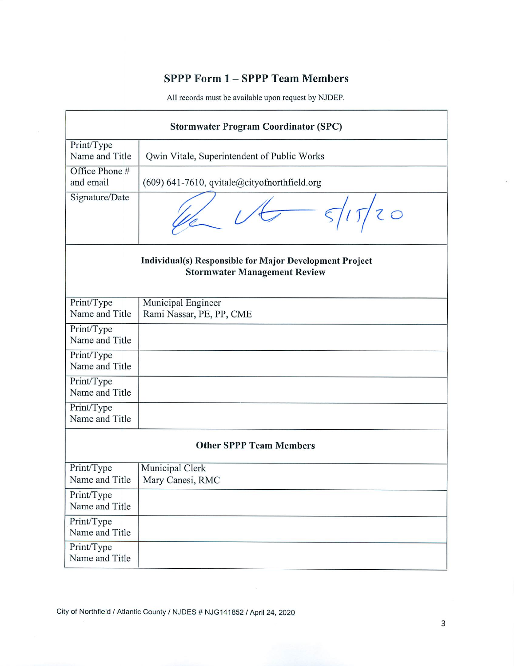## SPPP Form 1 - SPPP Team Members

|                              | <b>Stormwater Program Coordinator (SPC)</b>                                                    |  |  |  |
|------------------------------|------------------------------------------------------------------------------------------------|--|--|--|
| Print/Type<br>Name and Title | Qwin Vitale, Superintendent of Public Works                                                    |  |  |  |
| Office Phone #<br>and email  | (609) 641-7610, qvitale@cityofnorthfield.org                                                   |  |  |  |
| Signature/Date               |                                                                                                |  |  |  |
|                              | Individual(s) Responsible for Major Development Project<br><b>Stormwater Management Review</b> |  |  |  |
| Print/Type<br>Name and Title | Municipal Engineer<br>Rami Nassar, PE, PP, CME                                                 |  |  |  |
| Print/Type<br>Name and Title |                                                                                                |  |  |  |
| Print/Type<br>Name and Title |                                                                                                |  |  |  |
| Print/Type<br>Name and Title |                                                                                                |  |  |  |
| Print/Type<br>Name and Title |                                                                                                |  |  |  |
|                              | <b>Other SPPP Team Members</b>                                                                 |  |  |  |
| Print/Type<br>Name and Title | Municipal Clerk<br>Mary Canesi, RMC                                                            |  |  |  |
| Print/Type<br>Name and Title |                                                                                                |  |  |  |
| Print/Type<br>Name and Title |                                                                                                |  |  |  |
| Print/Type<br>Name and Title |                                                                                                |  |  |  |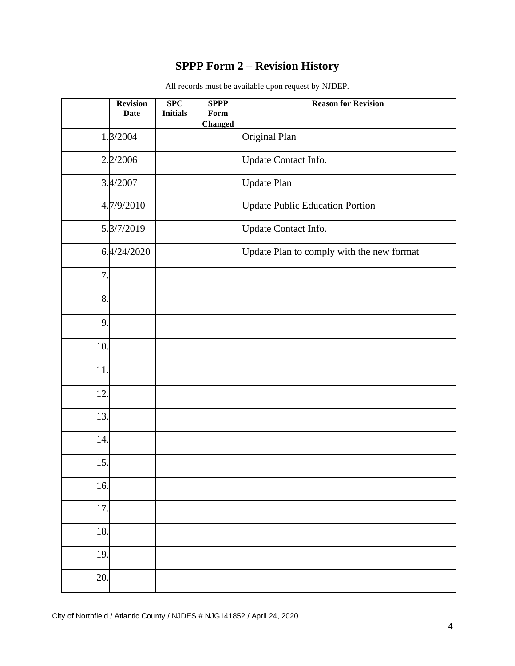## **SPPP Form 2 – Revision History**

|     | <b>Revision</b><br><b>Date</b> | SPC<br><b>Initials</b> | <b>SPPP</b><br>Form<br><b>Changed</b> | <b>Reason for Revision</b>                |
|-----|--------------------------------|------------------------|---------------------------------------|-------------------------------------------|
|     | 1.3/2004                       |                        |                                       | Original Plan                             |
|     | 2.2/2006                       |                        |                                       | Update Contact Info.                      |
|     | 3.4/2007                       |                        |                                       | <b>Update Plan</b>                        |
|     | 4.7/9/2010                     |                        |                                       | <b>Update Public Education Portion</b>    |
|     | 5.3/7/2019                     |                        |                                       | Update Contact Info.                      |
|     | 6.4/24/2020                    |                        |                                       | Update Plan to comply with the new format |
| 7.  |                                |                        |                                       |                                           |
| 8.  |                                |                        |                                       |                                           |
| 9.  |                                |                        |                                       |                                           |
| 10. |                                |                        |                                       |                                           |
| 11. |                                |                        |                                       |                                           |
| 12. |                                |                        |                                       |                                           |
| 13. |                                |                        |                                       |                                           |
| 14. |                                |                        |                                       |                                           |
| 15. |                                |                        |                                       |                                           |
| 16. |                                |                        |                                       |                                           |
| 17. |                                |                        |                                       |                                           |
| 18. |                                |                        |                                       |                                           |
| 19. |                                |                        |                                       |                                           |
| 20. |                                |                        |                                       |                                           |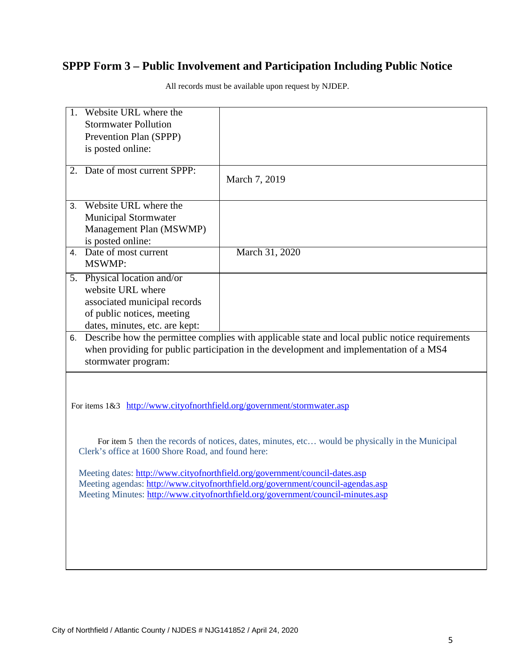## **SPPP Form 3 – Public Involvement and Participation Including Public Notice**

| 1. Website URL where the<br><b>Stormwater Pollution</b><br>Prevention Plan (SPPP)<br>is posted online:                                           |                                                                                                                                                                                                                                                   |
|--------------------------------------------------------------------------------------------------------------------------------------------------|---------------------------------------------------------------------------------------------------------------------------------------------------------------------------------------------------------------------------------------------------|
| Date of most current SPPP:<br>2.                                                                                                                 | March 7, 2019                                                                                                                                                                                                                                     |
| Website URL where the<br>3.<br><b>Municipal Stormwater</b><br>Management Plan (MSWMP)<br>is posted online:                                       |                                                                                                                                                                                                                                                   |
| Date of most current<br>4.<br><b>MSWMP:</b>                                                                                                      | March 31, 2020                                                                                                                                                                                                                                    |
| 5. Physical location and/or<br>website URL where<br>associated municipal records<br>of public notices, meeting<br>dates, minutes, etc. are kept: |                                                                                                                                                                                                                                                   |
| 6.<br>stormwater program:                                                                                                                        | Describe how the permittee complies with applicable state and local public notice requirements<br>when providing for public participation in the development and implementation of a MS4                                                          |
| For items 1&3 http://www.cityofnorthfield.org/government/stormwater.asp<br>Clerk's office at 1600 Shore Road, and found here:                    | For item 5 then the records of notices, dates, minutes, etc would be physically in the Municipal                                                                                                                                                  |
|                                                                                                                                                  | Meeting dates: http://www.cityofnorthfield.org/government/council-dates.asp<br>Meeting agendas: http://www.cityofnorthfield.org/government/council-agendas.asp<br>Meeting Minutes: http://www.cityofnorthfield.org/government/council-minutes.asp |
|                                                                                                                                                  |                                                                                                                                                                                                                                                   |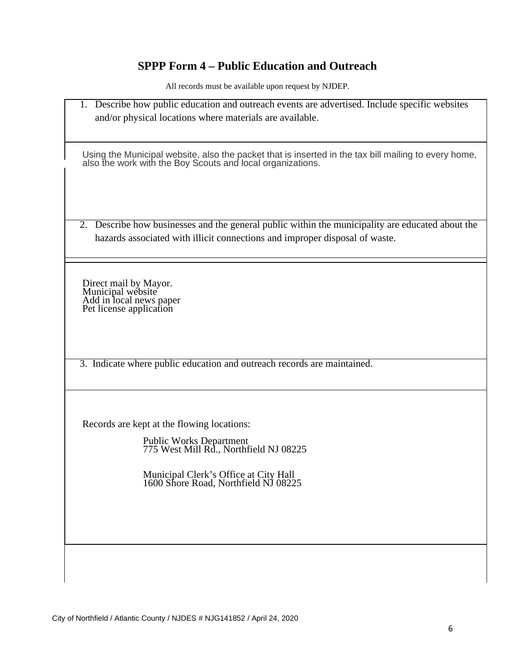# **SPPP Form 4 – Public Education and Outreach**

| 1. Describe how public education and outreach events are advertised. Include specific websites<br>and/or physical locations where materials are available.                      |
|---------------------------------------------------------------------------------------------------------------------------------------------------------------------------------|
| Using the Municipal website, also the packet that is inserted in the tax bill mailing to every home, also the work with the Boy Scouts and local organizations.                 |
| 2. Describe how businesses and the general public within the municipality are educated about the<br>hazards associated with illicit connections and improper disposal of waste. |
| Direct mail by Mayor.<br>Municipal website<br>Add in local news paper<br>Pet license application                                                                                |
| 3. Indicate where public education and outreach records are maintained.                                                                                                         |
| Records are kept at the flowing locations:                                                                                                                                      |
| Public Works Department<br>775 West Mill Rd., Northfield NJ 08225                                                                                                               |
| Municipal Clerk's Office at City Hall<br>1600 Shore Road, Northfield NJ 08225                                                                                                   |
|                                                                                                                                                                                 |
|                                                                                                                                                                                 |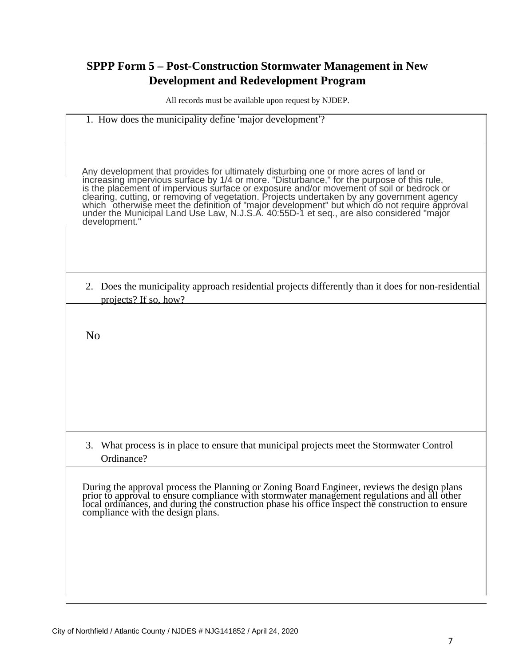## **SPPP Form 5 – Post-Construction Stormwater Management in New Development and Redevelopment Program**

|                | 1. How does the municipality define 'major development'?                                                                                                                                                                                                                                                                                                                                                                                                                                |
|----------------|-----------------------------------------------------------------------------------------------------------------------------------------------------------------------------------------------------------------------------------------------------------------------------------------------------------------------------------------------------------------------------------------------------------------------------------------------------------------------------------------|
|                | Any development that provides for ultimately disturbing one or more acres of land or increasing impervious surface by 1/4 or more. "Disturbance," for the purpose of this rule, is the placement of impervious surface or expo<br>clearing, cutting, or removing of vegetation. Projects undertaken by any government agency<br>which otherwise meet the definition of "major development" but which do not require approval<br>under the Municipal Land Use Law, N.J.<br>development." |
|                | 2. Does the municipality approach residential projects differently than it does for non-residential<br>projects? If so, how?                                                                                                                                                                                                                                                                                                                                                            |
| N <sub>0</sub> |                                                                                                                                                                                                                                                                                                                                                                                                                                                                                         |
|                |                                                                                                                                                                                                                                                                                                                                                                                                                                                                                         |
|                | 3. What process is in place to ensure that municipal projects meet the Stormwater Control<br>Ordinance?                                                                                                                                                                                                                                                                                                                                                                                 |
|                | During the approval process the Planning or Zoning Board Engineer, reviews the design plans<br>prior to approval to ensure compliance with stormwater management regulations and all other<br>local ordinances, and during the const<br>compliance with the design plans.                                                                                                                                                                                                               |
|                |                                                                                                                                                                                                                                                                                                                                                                                                                                                                                         |
|                |                                                                                                                                                                                                                                                                                                                                                                                                                                                                                         |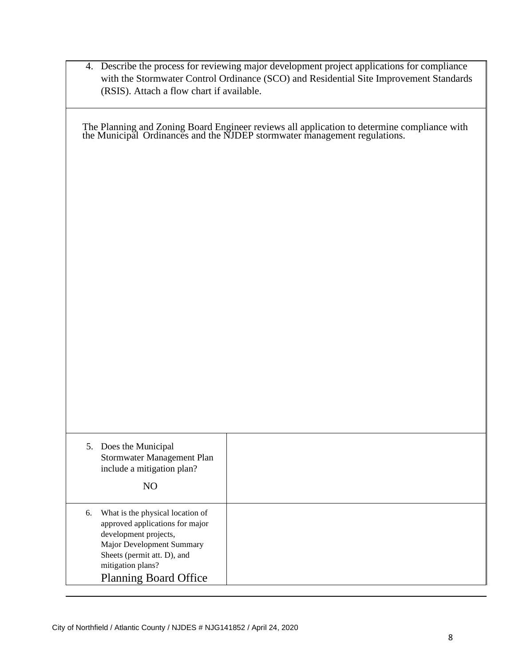|    | (RSIS). Attach a flow chart if available.                                                                                                                                                                     | 4. Describe the process for reviewing major development project applications for compliance<br>with the Stormwater Control Ordinance (SCO) and Residential Site Improvement Standards |  |  |  |
|----|---------------------------------------------------------------------------------------------------------------------------------------------------------------------------------------------------------------|---------------------------------------------------------------------------------------------------------------------------------------------------------------------------------------|--|--|--|
|    | The Planning and Zoning Board Engineer reviews all application to determine compliance with the Municipal Ordinances and the NJDEP stormwater management regulations.                                         |                                                                                                                                                                                       |  |  |  |
|    |                                                                                                                                                                                                               |                                                                                                                                                                                       |  |  |  |
|    |                                                                                                                                                                                                               |                                                                                                                                                                                       |  |  |  |
|    |                                                                                                                                                                                                               |                                                                                                                                                                                       |  |  |  |
|    |                                                                                                                                                                                                               |                                                                                                                                                                                       |  |  |  |
|    |                                                                                                                                                                                                               |                                                                                                                                                                                       |  |  |  |
|    |                                                                                                                                                                                                               |                                                                                                                                                                                       |  |  |  |
|    |                                                                                                                                                                                                               |                                                                                                                                                                                       |  |  |  |
|    | 5. Does the Municipal<br>Stormwater Management Plan<br>include a mitigation plan?                                                                                                                             |                                                                                                                                                                                       |  |  |  |
|    | NO                                                                                                                                                                                                            |                                                                                                                                                                                       |  |  |  |
| 6. | What is the physical location of<br>approved applications for major<br>development projects,<br>Major Development Summary<br>Sheets (permit att. D), and<br>mitigation plans?<br><b>Planning Board Office</b> |                                                                                                                                                                                       |  |  |  |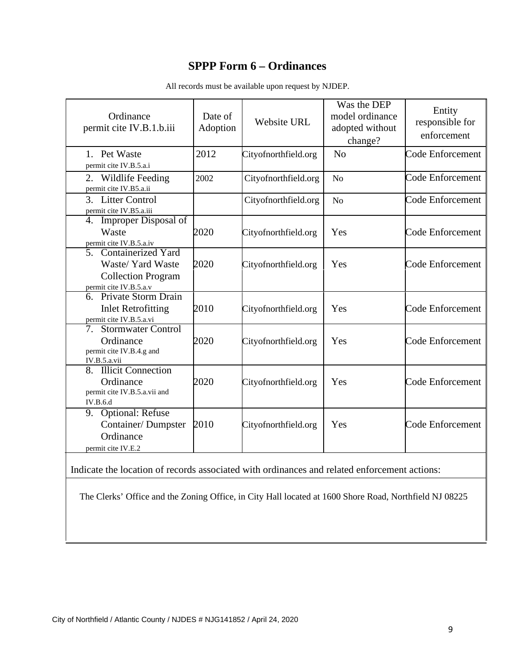#### **SPPP Form 6 – Ordinances**

| Ordinance<br>permit cite IV.B.1.b.iii                                                                                 | Date of<br>Adoption | Website URL          | Was the DEP<br>model ordinance<br>adopted without<br>change? | Entity<br>responsible for<br>enforcement |
|-----------------------------------------------------------------------------------------------------------------------|---------------------|----------------------|--------------------------------------------------------------|------------------------------------------|
| 1. Pet Waste<br>permit cite IV.B.5.a.i                                                                                | 2012                | Cityofnorthfield.org | N <sub>o</sub>                                               | <b>Code Enforcement</b>                  |
| 2.<br>Wildlife Feeding<br>permit cite IV.B5.a.ii                                                                      | 2002                | Cityofnorthfield.org | N <sub>o</sub>                                               | <b>Code Enforcement</b>                  |
| 3. Litter Control<br>permit cite IV.B5.a.iii                                                                          |                     | Cityofnorthfield.org | No                                                           | Code Enforcement                         |
| Improper Disposal of<br>4.<br>Waste<br>permit cite IV.B.5.a.iv                                                        | 2020                | Cityofnorthfield.org | Yes                                                          | Code Enforcement                         |
| 5. Containerized Yard<br>Waste/ Yard Waste<br><b>Collection Program</b><br>permit cite IV.B.5.a.v                     | 2020                | Cityofnorthfield.org | Yes                                                          | Code Enforcement                         |
| 6. Private Storm Drain<br><b>Inlet Retrofitting</b><br>permit cite IV.B.5.a.vi                                        | 2010                | Cityofnorthfield.org | Yes                                                          | Code Enforcement                         |
| <b>Stormwater Control</b><br>$7_{\scriptscriptstyle{\circ}}$<br>Ordinance<br>permit cite IV.B.4.g and<br>IV.B.5.a.vii | 2020                | Cityofnorthfield.org | Yes                                                          | Code Enforcement                         |
| 8. Illicit Connection<br>Ordinance<br>permit cite IV.B.5.a.vii and<br><b>IV.B.6.d</b>                                 | 2020                | Cityofnorthfield.org | Yes                                                          | Code Enforcement                         |
| 9. Optional: Refuse<br><b>Container/Dumpster</b><br>Ordinance<br>permit cite IV.E.2                                   | 2010                | Cityofnorthfield.org | Yes                                                          | Code Enforcement                         |

All records must be available upon request by NJDEP.

Indicate the location of records associated with ordinances and related enforcement actions:

The Clerks' Office and the Zoning Office, in City Hall located at 1600 Shore Road, Northfield NJ 08225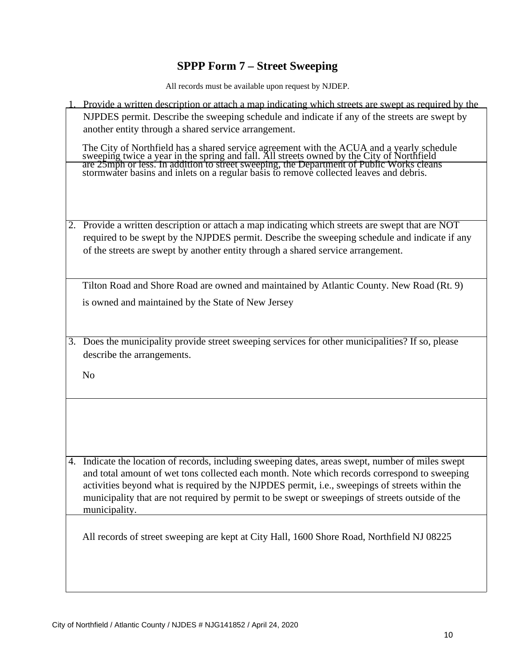# **SPPP Form 7 – Street Sweeping**

|    | Provide a written description or attach a map indicating which streets are swept as required by the                                                                                                                                                                                                                |
|----|--------------------------------------------------------------------------------------------------------------------------------------------------------------------------------------------------------------------------------------------------------------------------------------------------------------------|
|    | NJPDES permit. Describe the sweeping schedule and indicate if any of the streets are swept by                                                                                                                                                                                                                      |
|    | another entity through a shared service arrangement.                                                                                                                                                                                                                                                               |
|    | The City of Northfield has a shared service agreement with the ACUA and a yearly schedule sweeping twice a year in the spring and fall. All streets owned by the City of Northfield are 25mph or less. In addition to street s                                                                                     |
|    | 2. Provide a written description or attach a map indicating which streets are swept that are NOT<br>required to be swept by the NJPDES permit. Describe the sweeping schedule and indicate if any<br>of the streets are swept by another entity through a shared service arrangement.                              |
|    | Tilton Road and Shore Road are owned and maintained by Atlantic County. New Road (Rt. 9)<br>is owned and maintained by the State of New Jersey                                                                                                                                                                     |
|    |                                                                                                                                                                                                                                                                                                                    |
|    | 3. Does the municipality provide street sweeping services for other municipalities? If so, please<br>describe the arrangements.                                                                                                                                                                                    |
|    | N <sub>o</sub>                                                                                                                                                                                                                                                                                                     |
|    |                                                                                                                                                                                                                                                                                                                    |
|    | Indicate the location of records, including sweeping dates, areas swept, number of miles swept                                                                                                                                                                                                                     |
| 4. | and total amount of wet tons collected each month. Note which records correspond to sweeping<br>activities beyond what is required by the NJPDES permit, i.e., sweepings of streets within the<br>municipality that are not required by permit to be swept or sweepings of streets outside of the<br>municipality. |
|    | All records of street sweeping are kept at City Hall, 1600 Shore Road, Northfield NJ 08225                                                                                                                                                                                                                         |
|    |                                                                                                                                                                                                                                                                                                                    |
|    |                                                                                                                                                                                                                                                                                                                    |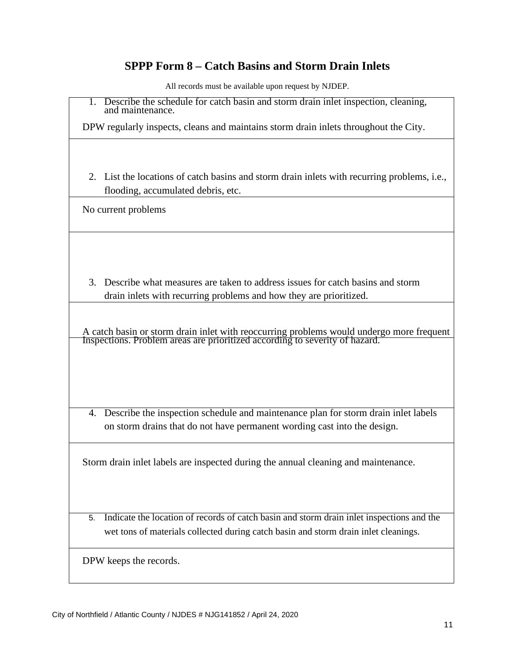## **SPPP Form 8 – Catch Basins and Storm Drain Inlets**

All records must be available upon request by NJDEP.

| 1. Describe the schedule for catch basin and storm drain inlet inspection, cleaning, |
|--------------------------------------------------------------------------------------|
| and maintenance.                                                                     |

 $\overline{a}$ DPW regularly inspects, cleans and maintains storm drain inlets throughout the City.

2. List the locations of catch basins and storm drain inlets with recurring problems, i.e., flooding, accumulated debris, etc.

No current problems

3. Describe what measures are taken to address issues for catch basins and storm drain inlets with recurring problems and how they are prioritized.

A catch basin or storm drain inlet with reoccurring problems would undergo more frequent Inspections. Problem areas are prioritized according to severity of hazard.

4. Describe the inspection schedule and maintenance plan for storm drain inlet labels on storm drains that do not have permanent wording cast into the design.

Storm drain inlet labels are inspected during the annual cleaning and maintenance.

5. Indicate the location of records of catch basin and storm drain inlet inspections and the wet tons of materials collected during catch basin and storm drain inlet cleanings.

DPW keeps the records.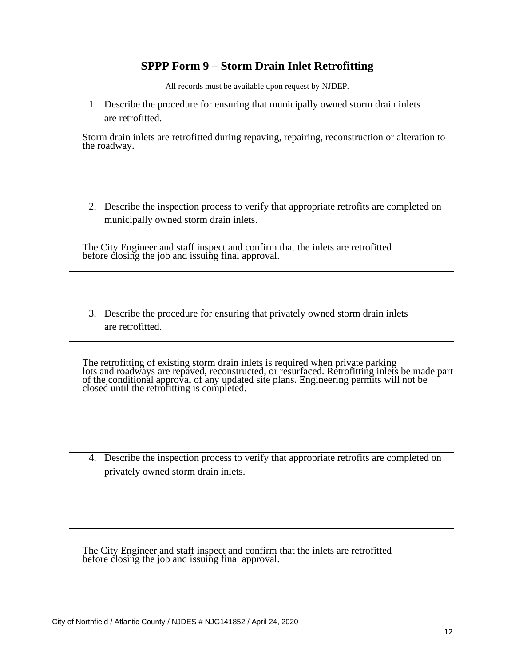#### **SPPP Form 9 – Storm Drain Inlet Retrofitting**

All records must be available upon request by NJDEP.

1. Describe the procedure for ensuring that municipally owned storm drain inlets are retrofitted.

Storm drain inlets are retrofitted during repaving, repairing, reconstruction or alteration to the roadway.

2. Describe the inspection process to verify that appropriate retrofits are completed on municipally owned storm drain inlets.

The City Engineer and staff inspect and confirm that the inlets are retrofitted before closing the job and issuing final approval.

3. Describe the procedure for ensuring that privately owned storm drain inlets are retrofitted.

The retrofitting of existing storm drain inlets is required when private parking lots and roadways are repaved, reconstructed, or resurfaced. Retrofitting inlets be made part of the conditional approval of any updated site plans. Engineering permits will not be closed until the retrofitting is completed.

4. Describe the inspection process to verify that appropriate retrofits are completed on privately owned storm drain inlets.

The City Engineer and staff inspect and confirm that the inlets are retrofitted before closing the job and issuing final approval.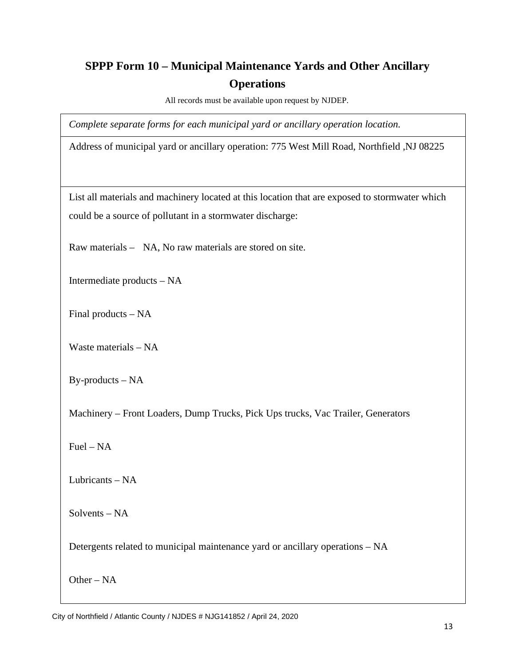## **SPPP Form 10 – Municipal Maintenance Yards and Other Ancillary Operations**

All records must be available upon request by NJDEP.

*Complete separate forms for each municipal yard or ancillary operation location.*

Address of municipal yard or ancillary operation: 775 West Mill Road, Northfield ,NJ 08225

List all materials and machinery located at this location that are exposed to stormwater which could be a source of pollutant in a stormwater discharge:

Raw materials – NA, No raw materials are stored on site.

Intermediate products – NA

Final products – NA

Waste materials – NA

By-products – NA

Machinery – Front Loaders, Dump Trucks, Pick Ups trucks, Vac Trailer, Generators

Fuel – NA

Lubricants – NA

Solvents – NA

Detergents related to municipal maintenance yard or ancillary operations – NA

Other – NA

City of Northfield / Atlantic County / NJDES # NJG141852 / April 24, 2020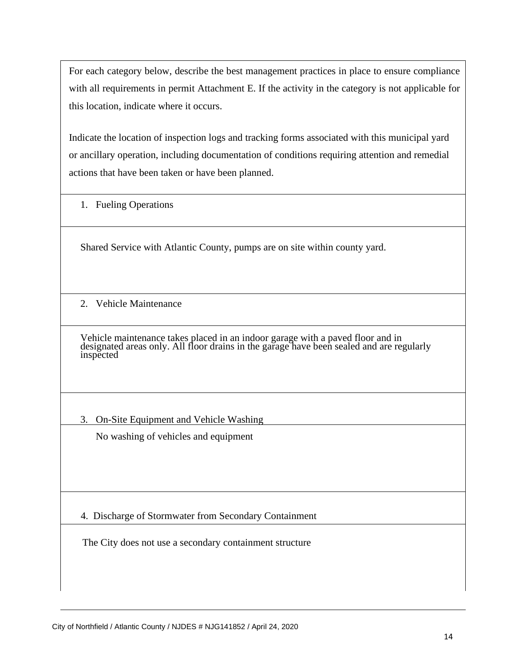For each category below, describe the best management practices in place to ensure compliance with all requirements in permit Attachment E. If the activity in the category is not applicable for this location, indicate where it occurs.

Indicate the location of inspection logs and tracking forms associated with this municipal yard or ancillary operation, including documentation of conditions requiring attention and remedial actions that have been taken or have been planned.

1. Fueling Operations

Shared Service with Atlantic County, pumps are on site within county yard.

2. Vehicle Maintenance

Vehicle maintenance takes placed in an indoor garage with a paved floor and in designated areas only. All floor drains in the garage have been sealed and are regularly inspected

3. On-Site Equipment and Vehicle Washing

No washing of vehicles and equipment

4. Discharge of Stormwater from Secondary Containment

The City does not use a secondary containment structure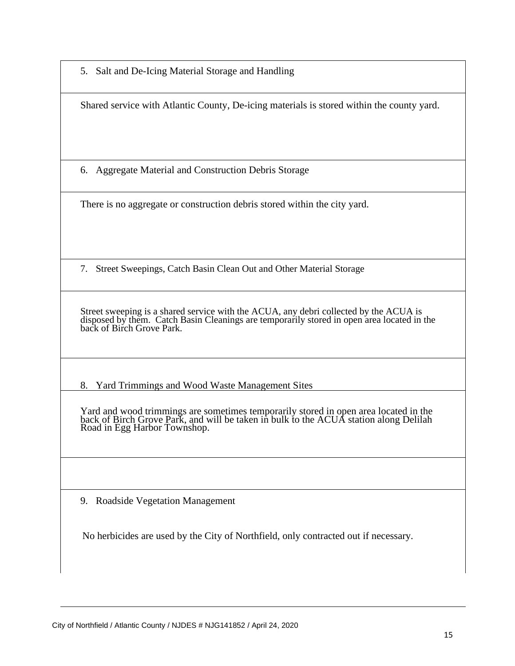5. Salt and De-Icing Material Storage and Handling

Shared service with Atlantic County, De-icing materials is stored within the county yard.

6. Aggregate Material and Construction Debris Storage

There is no aggregate or construction debris stored within the city yard.

7. Street Sweepings, Catch Basin Clean Out and Other Material Storage

Street sweeping is a shared service with the ACUA, any debri collected by the ACUA is disposed by them. Catch Basin Cleanings are temporarily stored in open area located in the back of Birch Grove Park.

8. Yard Trimmings and Wood Waste Management Sites

Yard and wood trimmings are sometimes temporarily stored in open area located in the back of Birch Grove Park, and will be taken in bulk to the ACUA station along Delilah Road in Egg Harbor Townshop.

9. Roadside Vegetation Management

No herbicides are used by the City of Northfield, only contracted out if necessary.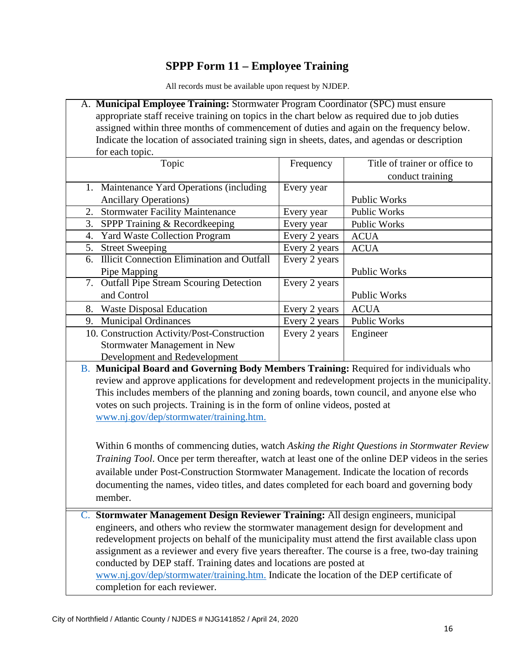# **SPPP Form 11 – Employee Training**

All records must be available upon request by NJDEP.

| A. Municipal Employee Training: Stormwater Program Coordinator (SPC) must ensure                 |                                                                                                                                                                                                   |                               |  |  |  |
|--------------------------------------------------------------------------------------------------|---------------------------------------------------------------------------------------------------------------------------------------------------------------------------------------------------|-------------------------------|--|--|--|
| appropriate staff receive training on topics in the chart below as required due to job duties    |                                                                                                                                                                                                   |                               |  |  |  |
| assigned within three months of commencement of duties and again on the frequency below.         |                                                                                                                                                                                                   |                               |  |  |  |
| Indicate the location of associated training sign in sheets, dates, and agendas or description   |                                                                                                                                                                                                   |                               |  |  |  |
| for each topic.                                                                                  |                                                                                                                                                                                                   |                               |  |  |  |
| Topic                                                                                            | Frequency                                                                                                                                                                                         | Title of trainer or office to |  |  |  |
|                                                                                                  |                                                                                                                                                                                                   | conduct training              |  |  |  |
| 1. Maintenance Yard Operations (including)                                                       | Every year                                                                                                                                                                                        |                               |  |  |  |
| <b>Ancillary Operations)</b>                                                                     |                                                                                                                                                                                                   | Public Works                  |  |  |  |
| <b>Stormwater Facility Maintenance</b><br>2.                                                     | Every year                                                                                                                                                                                        | <b>Public Works</b>           |  |  |  |
| SPPP Training & Recordkeeping<br>3.                                                              | Every year                                                                                                                                                                                        | Public Works                  |  |  |  |
| <b>Yard Waste Collection Program</b><br>4.                                                       | Every 2 years                                                                                                                                                                                     | <b>ACUA</b>                   |  |  |  |
| <b>Street Sweeping</b><br>5.                                                                     | Every 2 years                                                                                                                                                                                     | <b>ACUA</b>                   |  |  |  |
| <b>Illicit Connection Elimination and Outfall</b><br>6.                                          | Every 2 years                                                                                                                                                                                     |                               |  |  |  |
| Pipe Mapping                                                                                     |                                                                                                                                                                                                   | <b>Public Works</b>           |  |  |  |
| 7. Outfall Pipe Stream Scouring Detection                                                        | Every 2 years                                                                                                                                                                                     |                               |  |  |  |
| and Control                                                                                      |                                                                                                                                                                                                   | Public Works                  |  |  |  |
| <b>Waste Disposal Education</b><br>8.                                                            | Every 2 years                                                                                                                                                                                     | <b>ACUA</b>                   |  |  |  |
| <b>Municipal Ordinances</b><br>9.                                                                | Every 2 years                                                                                                                                                                                     | Public Works                  |  |  |  |
| 10. Construction Activity/Post-Construction                                                      | Every 2 years                                                                                                                                                                                     | Engineer                      |  |  |  |
| Stormwater Management in New                                                                     |                                                                                                                                                                                                   |                               |  |  |  |
| Development and Redevelopment                                                                    |                                                                                                                                                                                                   |                               |  |  |  |
| B. Municipal Board and Governing Body Members Training: Required for individuals who             |                                                                                                                                                                                                   |                               |  |  |  |
| review and approve applications for development and redevelopment projects in the municipality.  |                                                                                                                                                                                                   |                               |  |  |  |
| This includes members of the planning and zoning boards, town council, and anyone else who       |                                                                                                                                                                                                   |                               |  |  |  |
| votes on such projects. Training is in the form of online videos, posted at                      |                                                                                                                                                                                                   |                               |  |  |  |
| www.nj.gov/dep/stormwater/training.htm.                                                          |                                                                                                                                                                                                   |                               |  |  |  |
|                                                                                                  |                                                                                                                                                                                                   |                               |  |  |  |
|                                                                                                  |                                                                                                                                                                                                   |                               |  |  |  |
|                                                                                                  | Within 6 months of commencing duties, watch Asking the Right Questions in Stormwater Review<br>Training Tool. Once per term thereafter, watch at least one of the online DEP videos in the series |                               |  |  |  |
|                                                                                                  |                                                                                                                                                                                                   |                               |  |  |  |
| available under Post-Construction Stormwater Management. Indicate the location of records        |                                                                                                                                                                                                   |                               |  |  |  |
| documenting the names, video titles, and dates completed for each board and governing body       |                                                                                                                                                                                                   |                               |  |  |  |
| member.                                                                                          |                                                                                                                                                                                                   |                               |  |  |  |
| C. Stormwater Management Design Reviewer Training: All design engineers, municipal               |                                                                                                                                                                                                   |                               |  |  |  |
| engineers, and others who review the stormwater management design for development and            |                                                                                                                                                                                                   |                               |  |  |  |
| redevelopment projects on behalf of the municipality must attend the first available class upon  |                                                                                                                                                                                                   |                               |  |  |  |
| assignment as a reviewer and every five years thereafter. The course is a free, two-day training |                                                                                                                                                                                                   |                               |  |  |  |
| conducted by DEP staff. Training dates and locations are posted at                               |                                                                                                                                                                                                   |                               |  |  |  |
| www.nj.gov/dep/stormwater/training.htm. Indicate the location of the DEP certificate of          |                                                                                                                                                                                                   |                               |  |  |  |

completion for each reviewer.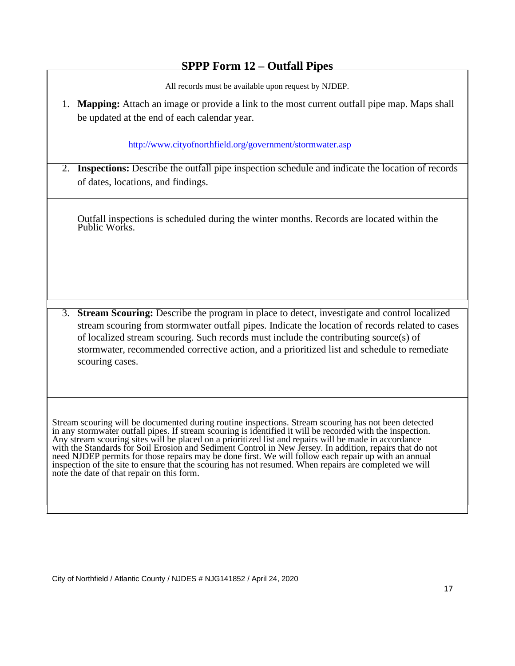#### **SPPP Form 12 – Outfall Pipes**

All records must be available upon request by NJDEP.

1. **Mapping:** Attach an image or provide a link to the most current outfall pipe map. Maps shall be updated at the end of each calendar year.

http://www.cityofnorthfield.org/government/stormwater.asp

2. **Inspections:** Describe the outfall pipe inspection schedule and indicate the location of records of dates, locations, and findings.

Outfall inspections is scheduled during the winter months. Records are located within the Public Works.

3. **Stream Scouring:** Describe the program in place to detect, investigate and control localized stream scouring from stormwater outfall pipes. Indicate the location of records related to cases of localized stream scouring. Such records must include the contributing source(s) of stormwater, recommended corrective action, and a prioritized list and schedule to remediate scouring cases.

Stream scouring will be documented during routine inspections. Stream scouring has not been detected in any stormwater outfall pipes. If stream scouring is identified it will be recorded with the inspection. Any stream scouring sites will be placed on a prioritized list and repairs will be made in accordance with the Standards for Soil Erosion and Sediment Control in New Jersey. In addition, repairs that do not need NJDEP permits for those repairs may be done first. We will follow each repair up with an annual inspection of the site to ensure that the scouring has not resumed. When repairs are completed we will note the date of that repair on this form.

City of Northfield / Atlantic County / NJDES # NJG141852 / April 24, 2020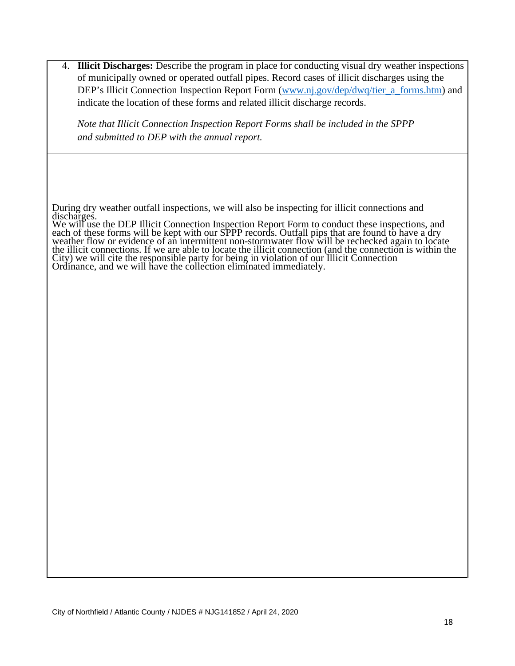| 4. <b>Illicit Discharges:</b> Describe the program in place for conducting visual dry weather inspections<br>of municipally owned or operated outfall pipes. Record cases of illicit discharges using the<br>DEP's Illicit Connection Inspection Report Form (www.nj.gov/dep/dwq/tier_a_forms.htm) and<br>indicate the location of these forms and related illicit discharge records. |
|---------------------------------------------------------------------------------------------------------------------------------------------------------------------------------------------------------------------------------------------------------------------------------------------------------------------------------------------------------------------------------------|
| Note that Illicit Connection Inspection Report Forms shall be included in the SPPP<br>and submitted to DEP with the annual report.                                                                                                                                                                                                                                                    |
|                                                                                                                                                                                                                                                                                                                                                                                       |
| During dry weather outfall inspections, we will also be inspecting for illicit connections and<br>discharges.<br>We will use the DEP Illicit Connection Inspection Report Form to conduct these inspections, and<br>each of these forms will be kept with our SPPP records. Outfall pips that are found to have a dry<br>weather flow or evidence of                                  |
|                                                                                                                                                                                                                                                                                                                                                                                       |
|                                                                                                                                                                                                                                                                                                                                                                                       |
|                                                                                                                                                                                                                                                                                                                                                                                       |
|                                                                                                                                                                                                                                                                                                                                                                                       |
|                                                                                                                                                                                                                                                                                                                                                                                       |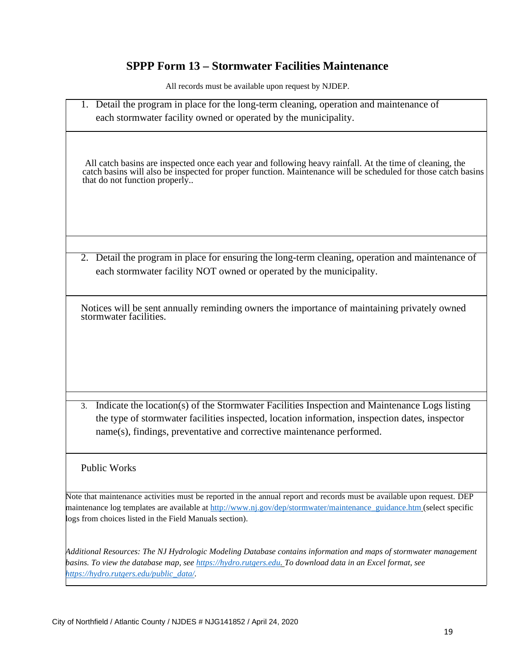#### **SPPP Form 13 – Stormwater Facilities Maintenance**

All records must be available upon request by NJDEP.

1. Detail the program in place for the long-term cleaning, operation and maintenance of each stormwater facility owned or operated by the municipality.

All catch basins are inspected once each year and following heavy rainfall. At the time of cleaning, the catch basins will also be inspected for proper function. Maintenance will be scheduled for those catch basins that do not function properly..

2. Detail the program in place for ensuring the long-term cleaning, operation and maintenance of each stormwater facility NOT owned or operated by the municipality.

Notices will be sent annually reminding owners the importance of maintaining privately owned stormwater facilities.

3. Indicate the location(s) of the Stormwater Facilities Inspection and Maintenance Logs listing the type of stormwater facilities inspected, location information, inspection dates, inspector name(s), findings, preventative and corrective maintenance performed.

#### Public Works

Note that maintenance activities must be reported in the annual report and records must be available upon request. DEP maintenance log templates are available at http://www.nj.gov/dep/stormwater/maintenance\_guidance.htm (select specific logs from choices listed in the Field Manuals section).

*Additional Resources: The NJ Hydrologic Modeling Database contains information and maps of stormwater management basins. To view the database map, see https://hydro.rutgers.edu. To download data in an Excel format, see https://hydro.rutgers.edu/public\_data/.*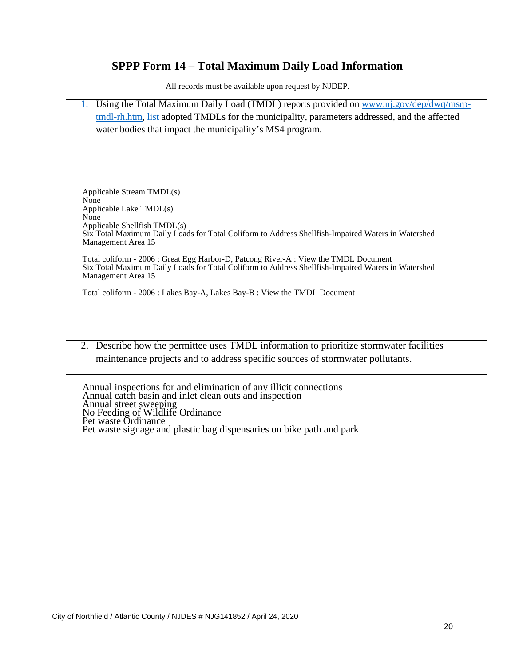## **SPPP Form 14 – Total Maximum Daily Load Information**

| 1. Using the Total Maximum Daily Load (TMDL) reports provided on www.nj.gov/dep/dwq/msrp-                                   |
|-----------------------------------------------------------------------------------------------------------------------------|
| tmdl-rh.htm, list adopted TMDLs for the municipality, parameters addressed, and the affected                                |
| water bodies that impact the municipality's MS4 program.                                                                    |
|                                                                                                                             |
|                                                                                                                             |
|                                                                                                                             |
|                                                                                                                             |
| Applicable Stream TMDL(s)                                                                                                   |
| None                                                                                                                        |
| Applicable Lake TMDL(s)                                                                                                     |
| None<br>Applicable Shellfish TMDL(s)                                                                                        |
| Six Total Maximum Daily Loads for Total Coliform to Address Shellfish-Impaired Waters in Watershed                          |
| Management Area 15                                                                                                          |
| Total coliform - 2006 : Great Egg Harbor-D, Patcong River-A : View the TMDL Document                                        |
| Six Total Maximum Daily Loads for Total Coliform to Address Shellfish-Impaired Waters in Watershed                          |
| Management Area 15                                                                                                          |
| Total coliform - 2006 : Lakes Bay-A, Lakes Bay-B : View the TMDL Document                                                   |
|                                                                                                                             |
|                                                                                                                             |
|                                                                                                                             |
|                                                                                                                             |
| 2. Describe how the permittee uses TMDL information to prioritize stormwater facilities                                     |
| maintenance projects and to address specific sources of stormwater pollutants.                                              |
|                                                                                                                             |
|                                                                                                                             |
| Annual inspections for and elimination of any illicit connections<br>Annual catch basin and inlet clean outs and inspection |
| Annual street sweeping<br>No Feeding of Wildlife Ordinance                                                                  |
| Pet waste Ordinance                                                                                                         |
| Pet waste signage and plastic bag dispensaries on bike path and park                                                        |
|                                                                                                                             |
|                                                                                                                             |
|                                                                                                                             |
|                                                                                                                             |
|                                                                                                                             |
|                                                                                                                             |
|                                                                                                                             |
|                                                                                                                             |
|                                                                                                                             |
|                                                                                                                             |
|                                                                                                                             |